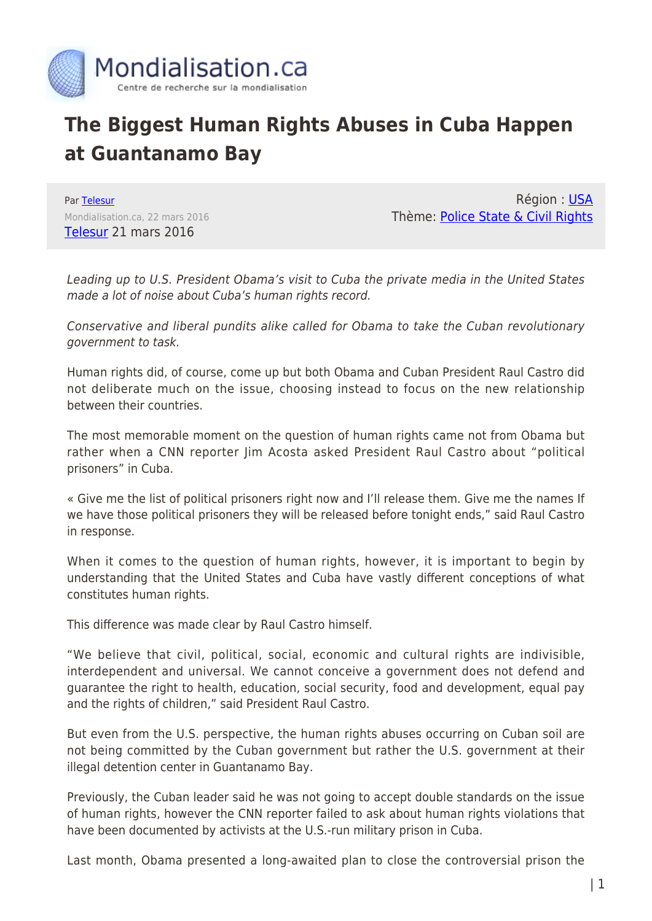

## **The Biggest Human Rights Abuses in Cuba Happen at Guantanamo Bay**

Par [Telesur](https://www.mondialisation.ca/author/telesur) Mondialisation.ca, 22 mars 2016 [Telesur](http://www.telesurtv.net/english/analysis/Biggest-Human-Rights-Abuses-in-Cuba-Happen-in-Guantanamo-Bay-20160321-0027.html) 21 mars 2016

Région : [USA](https://www.mondialisation.ca/region/usa) Thème: [Police State & Civil Rights](https://www.mondialisation.ca/theme/police-state-civil-rights)

Leading up to U.S. President Obama's visit to Cuba the private media in the United States made a lot of noise about Cuba's human rights record.

Conservative and liberal pundits alike called for Obama to take the Cuban revolutionary government to task.

Human rights did, of course, come up but both Obama and Cuban President Raul Castro did not deliberate much on the issue, choosing instead to focus on the new relationship between their countries.

The most memorable moment on the question of human rights came not from Obama but rather when a CNN reporter Jim Acosta asked President Raul Castro about "political prisoners" in Cuba.

« Give me the list of political prisoners right now and I'll release them. Give me the names If we have those political prisoners they will be released before tonight ends," said Raul Castro in response.

When it comes to the question of human rights, however, it is important to begin by understanding that the United States and Cuba have vastly different conceptions of what constitutes human rights.

This difference was made clear by Raul Castro himself.

"We believe that civil, political, social, economic and cultural rights are indivisible, interdependent and universal. We cannot conceive a government does not defend and guarantee the right to health, education, social security, food and development, equal pay and the rights of children," said President Raul Castro.

But even from the U.S. perspective, the human rights abuses occurring on Cuban soil are not being committed by the Cuban government but rather the U.S. government at their illegal detention center in Guantanamo Bay.

Previously, the Cuban leader said he was not going to accept double standards on the issue of human rights, however the CNN reporter failed to ask about human rights violations that have been documented by activists at the U.S.-run military prison in Cuba.

Last month, Obama presented a long-awaited plan to close the controversial prison the